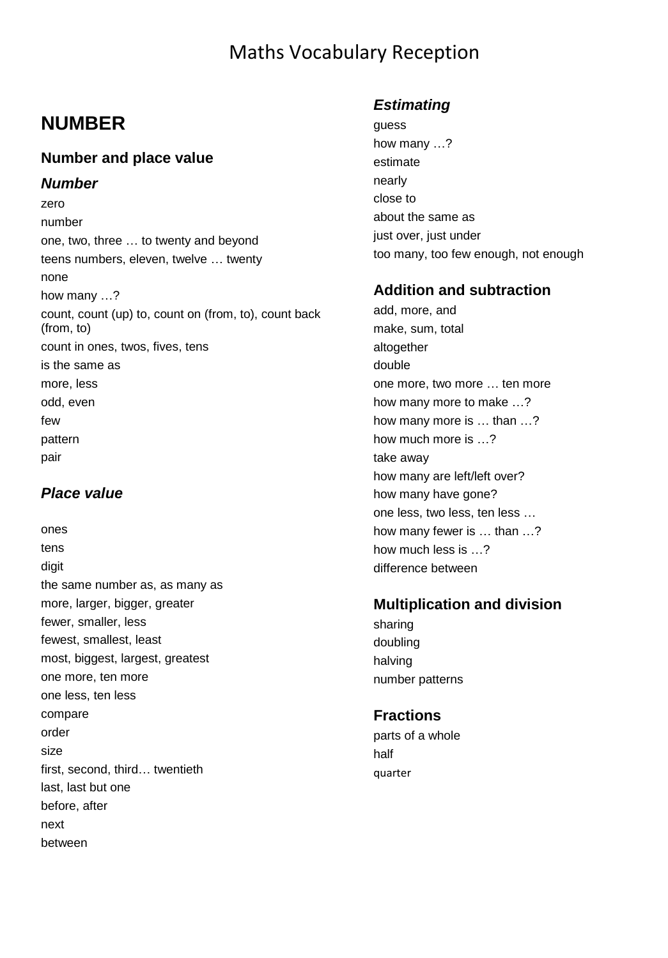### Maths Vocabulary Reception

### **NUMBER**

#### **Number and place value**

#### *Number*

zero number one, two, three … to twenty and beyond teens numbers, eleven, twelve … twenty none how many …? count, count (up) to, count on (from, to), count back (from, to) count in ones, twos, fives, tens is the same as more, less odd, even few pattern pair

#### *Place value*

ones tens digit the same number as, as many as more, larger, bigger, greater fewer, smaller, less fewest, smallest, least most, biggest, largest, greatest one more, ten more one less, ten less compare order size first, second, third… twentieth last, last but one before, after next between

#### *Estimating*

guess how many …? estimate nearly close to about the same as just over, just under too many, too few enough, not enough

#### **Addition and subtraction**

add, more, and make, sum, total altogether double one more, two more … ten more how many more to make …? how many more is … than …? how much more is …? take away how many are left/left over? how many have gone? one less, two less, ten less … how many fewer is … than …? how much less is …? difference between

#### **Multiplication and division**

sharing doubling halving number patterns

#### **Fractions**

parts of a whole half quarter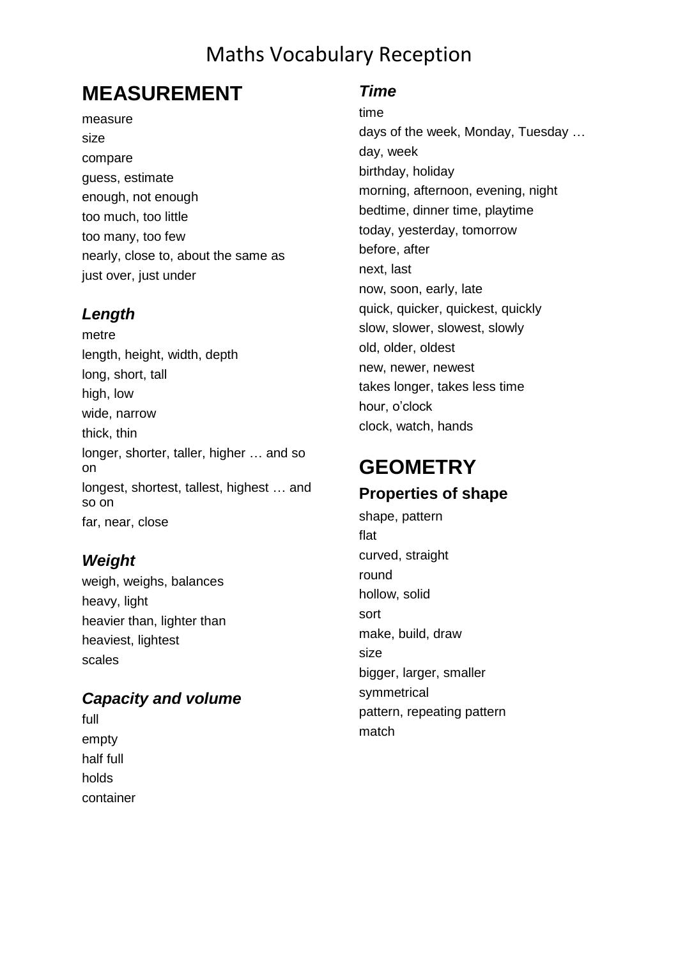### Maths Vocabulary Reception

### **MEASUREMENT**

#### measure size compare guess, estimate enough, not enough too much, too little too many, too few nearly, close to, about the same as just over, just under

#### *Length*

metre length, height, width, depth long, short, tall high, low wide, narrow thick, thin longer, shorter, taller, higher … and so on longest, shortest, tallest, highest … and so on far, near, close

#### *Weight*

weigh, weighs, balances heavy, light heavier than, lighter than heaviest, lightest scales

#### *Capacity and volume*

full empty half full holds container

#### *Time*

time days of the week, Monday, Tuesday … day, week birthday, holiday morning, afternoon, evening, night bedtime, dinner time, playtime today, yesterday, tomorrow before, after next, last now, soon, early, late quick, quicker, quickest, quickly slow, slower, slowest, slowly old, older, oldest new, newer, newest takes longer, takes less time hour, o'clock clock, watch, hands

# **GEOMETRY**

**Properties of shape** shape, pattern flat curved, straight round hollow, solid sort make, build, draw size bigger, larger, smaller symmetrical pattern, repeating pattern match